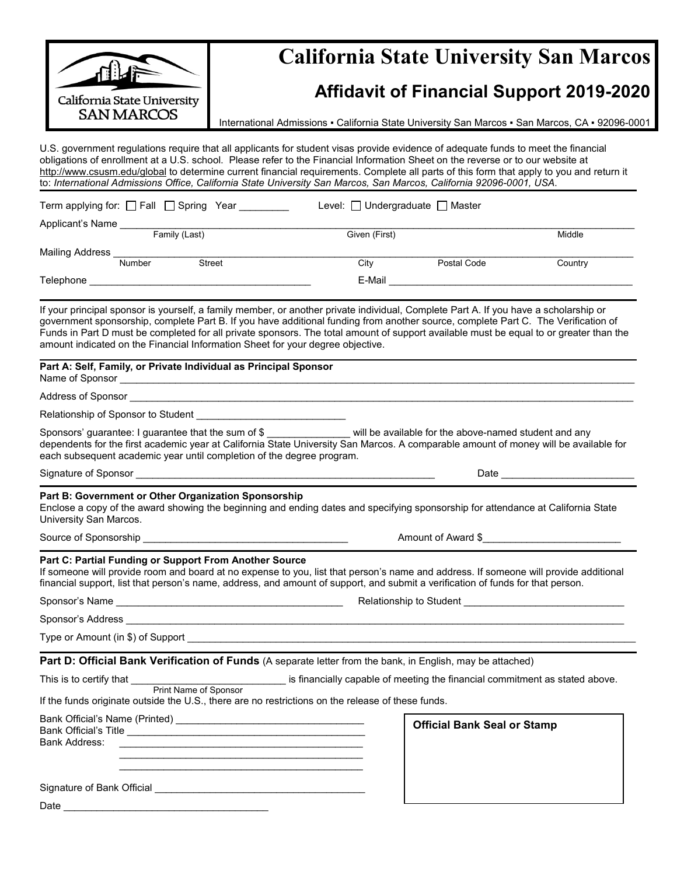|                                                                                | <b>California State University San Marcos</b>                                                                                                                                                                                                                                                                                                                                                                                                                                                                                             |                    |  |  |  |  |  |
|--------------------------------------------------------------------------------|-------------------------------------------------------------------------------------------------------------------------------------------------------------------------------------------------------------------------------------------------------------------------------------------------------------------------------------------------------------------------------------------------------------------------------------------------------------------------------------------------------------------------------------------|--------------------|--|--|--|--|--|
| $\mathbb{H}^n$                                                                 | <b>Affidavit of Financial Support 2019-2020</b><br>International Admissions - California State University San Marcos - San Marcos, CA - 92096-0001                                                                                                                                                                                                                                                                                                                                                                                        |                    |  |  |  |  |  |
| California State University<br><b>SAN MARCOS</b>                               |                                                                                                                                                                                                                                                                                                                                                                                                                                                                                                                                           |                    |  |  |  |  |  |
|                                                                                | U.S. government regulations require that all applicants for student visas provide evidence of adequate funds to meet the financial<br>obligations of enrollment at a U.S. school. Please refer to the Financial Information Sheet on the reverse or to our website at<br>http://www.csusm.edu/global to determine current financial requirements. Complete all parts of this form that apply to you and return it<br>to: International Admissions Office, California State University San Marcos, San Marcos, California 92096-0001, USA. |                    |  |  |  |  |  |
| Term applying for: $\Box$ Fall $\Box$ Spring Year _________                    | Level: □ Undergraduate □ Master                                                                                                                                                                                                                                                                                                                                                                                                                                                                                                           |                    |  |  |  |  |  |
| Applicant's Name<br>Family (Last)                                              | Given (First)                                                                                                                                                                                                                                                                                                                                                                                                                                                                                                                             | Middle             |  |  |  |  |  |
|                                                                                |                                                                                                                                                                                                                                                                                                                                                                                                                                                                                                                                           |                    |  |  |  |  |  |
|                                                                                | City Postal Code                                                                                                                                                                                                                                                                                                                                                                                                                                                                                                                          | Country            |  |  |  |  |  |
|                                                                                |                                                                                                                                                                                                                                                                                                                                                                                                                                                                                                                                           |                    |  |  |  |  |  |
| amount indicated on the Financial Information Sheet for your degree objective. | If your principal sponsor is yourself, a family member, or another private individual, Complete Part A. If you have a scholarship or<br>government sponsorship, complete Part B. If you have additional funding from another source, complete Part C. The Verification of<br>Funds in Part D must be completed for all private sponsors. The total amount of support available must be equal to or greater than the                                                                                                                       |                    |  |  |  |  |  |
| Part A: Self, Family, or Private Individual as Principal Sponsor               |                                                                                                                                                                                                                                                                                                                                                                                                                                                                                                                                           |                    |  |  |  |  |  |
|                                                                                |                                                                                                                                                                                                                                                                                                                                                                                                                                                                                                                                           |                    |  |  |  |  |  |
|                                                                                |                                                                                                                                                                                                                                                                                                                                                                                                                                                                                                                                           |                    |  |  |  |  |  |
| each subsequent academic year until completion of the degree program.          | Sponsors' guarantee: I guarantee that the sum of \$ _______________ will be available for the above-named student and any<br>dependents for the first academic year at California State University San Marcos. A comparable amount of money will be available for                                                                                                                                                                                                                                                                         |                    |  |  |  |  |  |
|                                                                                |                                                                                                                                                                                                                                                                                                                                                                                                                                                                                                                                           |                    |  |  |  |  |  |
| Part B: Government or Other Organization Sponsorship<br>University San Marcos. | Enclose a copy of the award showing the beginning and ending dates and specifying sponsorship for attendance at California State                                                                                                                                                                                                                                                                                                                                                                                                          |                    |  |  |  |  |  |
|                                                                                |                                                                                                                                                                                                                                                                                                                                                                                                                                                                                                                                           | Amount of Award \$ |  |  |  |  |  |
| Part C: Partial Funding or Support From Another Source                         | If someone will provide room and board at no expense to you, list that person's name and address. If someone will provide additional<br>financial support, list that person's name, address, and amount of support, and submit a verification of funds for that person.                                                                                                                                                                                                                                                                   |                    |  |  |  |  |  |
|                                                                                |                                                                                                                                                                                                                                                                                                                                                                                                                                                                                                                                           |                    |  |  |  |  |  |
|                                                                                |                                                                                                                                                                                                                                                                                                                                                                                                                                                                                                                                           |                    |  |  |  |  |  |
|                                                                                |                                                                                                                                                                                                                                                                                                                                                                                                                                                                                                                                           |                    |  |  |  |  |  |
|                                                                                | Part D: Official Bank Verification of Funds (A separate letter from the bank, in English, may be attached)                                                                                                                                                                                                                                                                                                                                                                                                                                |                    |  |  |  |  |  |
|                                                                                | This is to certify that Print Name of Sponsor is financially capable of meeting the financial commitment as stated above.                                                                                                                                                                                                                                                                                                                                                                                                                 |                    |  |  |  |  |  |
|                                                                                | If the funds originate outside the U.S., there are no restrictions on the release of these funds.                                                                                                                                                                                                                                                                                                                                                                                                                                         |                    |  |  |  |  |  |
| <b>Bank Address:</b>                                                           | <b>Official Bank Seal or Stamp</b><br><u> 1989 - Jan Samuel Barbara, margaret e populari e populari e populari e populari e populari e populari e popu</u>                                                                                                                                                                                                                                                                                                                                                                                |                    |  |  |  |  |  |
|                                                                                |                                                                                                                                                                                                                                                                                                                                                                                                                                                                                                                                           |                    |  |  |  |  |  |
|                                                                                |                                                                                                                                                                                                                                                                                                                                                                                                                                                                                                                                           |                    |  |  |  |  |  |